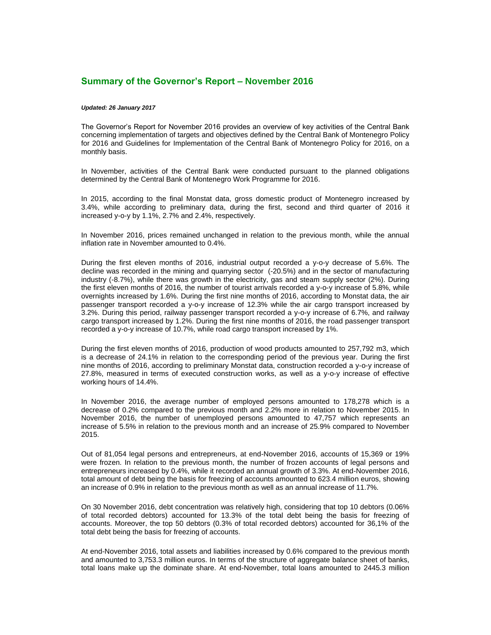## **Summary of the Governor's Report – November 2016**

## *Updated: 26 January 2017*

The Governor's Report for November 2016 provides an overview of key activities of the Central Bank concerning implementation of targets and objectives defined by the Central Bank of Montenegro Policy for 2016 and Guidelines for Implementation of the Central Bank of Montenegro Policy for 2016, on a monthly basis.

In November, activities of the Central Bank were conducted pursuant to the planned obligations determined by the Central Bank of Montenegro Work Programme for 2016.

In 2015, according to the final Monstat data, gross domestic product of Montenegro increased by 3.4%, while according to preliminary data, during the first, second and third quarter of 2016 it increased y-o-y by 1.1%, 2.7% and 2.4%, respectively.

In November 2016, prices remained unchanged in relation to the previous month, while the annual inflation rate in November amounted to 0.4%.

During the first eleven months of 2016, industrial output recorded a y-o-y decrease of 5.6%. The decline was recorded in the mining and quarrying sector (-20.5%) and in the sector of manufacturing industry (-8.7%), while there was growth in the electricity, gas and steam supply sector (2%). During the first eleven months of 2016, the number of tourist arrivals recorded a y-o-y increase of 5.8%, while overnights increased by 1.6%. During the first nine months of 2016, according to Monstat data, the air passenger transport recorded a y-o-y increase of 12.3% while the air cargo transport increased by 3.2%. During this period, railway passenger transport recorded a y-o-y increase of 6.7%, and railway cargo transport increased by 1.2%. During the first nine months of 2016, the road passenger transport recorded a y-o-y increase of 10.7%, while road cargo transport increased by 1%.

During the first eleven months of 2016, production of wood products amounted to 257,792 m3, which is a decrease of 24.1% in relation to the corresponding period of the previous year. During the first nine months of 2016, according to preliminary Monstat data, construction recorded a y-o-y increase of 27.8%, measured in terms of executed construction works, as well as a y-o-y increase of effective working hours of 14.4%.

In November 2016, the average number of employed persons amounted to 178,278 which is a decrease of 0.2% compared to the previous month and 2.2% more in relation to November 2015. In November 2016, the number of unemployed persons amounted to 47,757 which represents an increase of 5.5% in relation to the previous month and an increase of 25.9% compared to November 2015.

Out of 81,054 legal persons and entrepreneurs, at end-November 2016, accounts of 15,369 or 19% were frozen. In relation to the previous month, the number of frozen accounts of legal persons and entrepreneurs increased by 0.4%, while it recorded an annual growth of 3.3%. At end-November 2016, total amount of debt being the basis for freezing of accounts amounted to 623.4 million euros, showing an increase of 0.9% in relation to the previous month as well as an annual increase of 11.7%.

On 30 November 2016, debt concentration was relatively high, considering that top 10 debtors (0.06% of total recorded debtors) accounted for 13.3% of the total debt being the basis for freezing of accounts. Moreover, the top 50 debtors (0.3% of total recorded debtors) accounted for 36,1% of the total debt being the basis for freezing of accounts.

At end-November 2016, total assets and liabilities increased by 0.6% compared to the previous month and amounted to 3,753.3 million euros. In terms of the structure of aggregate balance sheet of banks, total loans make up the dominate share. At end-November, total loans amounted to 2445.3 million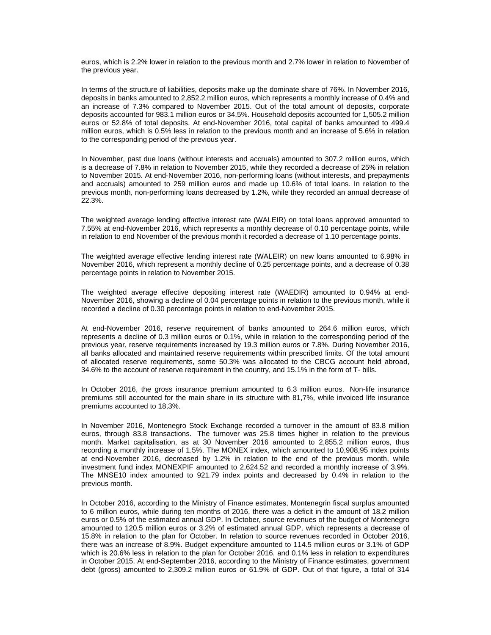euros, which is 2.2% lower in relation to the previous month and 2.7% lower in relation to November of the previous year.

In terms of the structure of liabilities, deposits make up the dominate share of 76%. In November 2016, deposits in banks amounted to 2,852.2 million euros, which represents a monthly increase of 0.4% and an increase of 7.3% compared to November 2015. Out of the total amount of deposits, corporate deposits accounted for 983.1 million euros or 34.5%. Household deposits accounted for 1,505.2 million euros or 52.8% of total deposits. At end-November 2016, total capital of banks amounted to 499.4 million euros, which is 0.5% less in relation to the previous month and an increase of 5.6% in relation to the corresponding period of the previous year.

In November, past due loans (without interests and accruals) amounted to 307.2 million euros, which is a decrease of 7.8% in relation to November 2015, while they recorded a decrease of 25% in relation to November 2015. At end-November 2016, non-performing loans (without interests, and prepayments and accruals) amounted to 259 million euros and made up 10.6% of total loans. In relation to the previous month, non-performing loans decreased by 1.2%, while they recorded an annual decrease of 22.3%.

The weighted average lending effective interest rate (WALEIR) on total loans approved amounted to 7.55% at end-November 2016, which represents a monthly decrease of 0.10 percentage points, while in relation to end November of the previous month it recorded a decrease of 1.10 percentage points.

The weighted average effective lending interest rate (WALEIR) on new loans amounted to 6.98% in November 2016, which represent a monthly decline of 0.25 percentage points, and a decrease of 0.38 percentage points in relation to November 2015.

The weighted average effective depositing interest rate (WAEDIR) amounted to 0.94% at end-November 2016, showing a decline of 0.04 percentage points in relation to the previous month, while it recorded a decline of 0.30 percentage points in relation to end-November 2015.

At end-November 2016, reserve requirement of banks amounted to 264.6 million euros, which represents a decline of 0.3 million euros or 0.1%, while in relation to the corresponding period of the previous year, reserve requirements increased by 19.3 million euros or 7.8%. During November 2016, all banks allocated and maintained reserve requirements within prescribed limits. Of the total amount of allocated reserve requirements, some 50.3% was allocated to the CBCG account held abroad, 34.6% to the account of reserve requirement in the country, and 15.1% in the form of T- bills.

In October 2016, the gross insurance premium amounted to 6.3 million euros. Non-life insurance premiums still accounted for the main share in its structure with 81,7%, while invoiced life insurance premiums accounted to 18,3%.

In November 2016, Montenegro Stock Exchange recorded a turnover in the amount of 83.8 million euros, through 83.8 transactions. The turnover was 25.8 times higher in relation to the previous month. Market capitalisation, as at 30 November 2016 amounted to 2,855.2 million euros, thus recording a monthly increase of 1.5%. The MONEX index, which amounted to 10,908,95 index points at end-November 2016, decreased by 1.2% in relation to the end of the previous month, while investment fund index MONEXPIF amounted to 2,624.52 and recorded a monthly increase of 3.9%. The MNSE10 index amounted to 921.79 index points and decreased by 0.4% in relation to the previous month.

In October 2016, according to the Ministry of Finance estimates, Montenegrin fiscal surplus amounted to 6 million euros, while during ten months of 2016, there was a deficit in the amount of 18.2 million euros or 0.5% of the estimated annual GDP. In October, source revenues of the budget of Montenegro amounted to 120.5 million euros or 3.2% of estimated annual GDP, which represents a decrease of 15.8% in relation to the plan for October. In relation to source revenues recorded in October 2016, there was an increase of 8.9%. Budget expenditure amounted to 114.5 million euros or 3.1% of GDP which is 20.6% less in relation to the plan for October 2016, and 0.1% less in relation to expenditures in October 2015. At end-September 2016, according to the Ministry of Finance estimates, government debt (gross) amounted to 2,309.2 million euros or 61.9% of GDP. Out of that figure, a total of 314